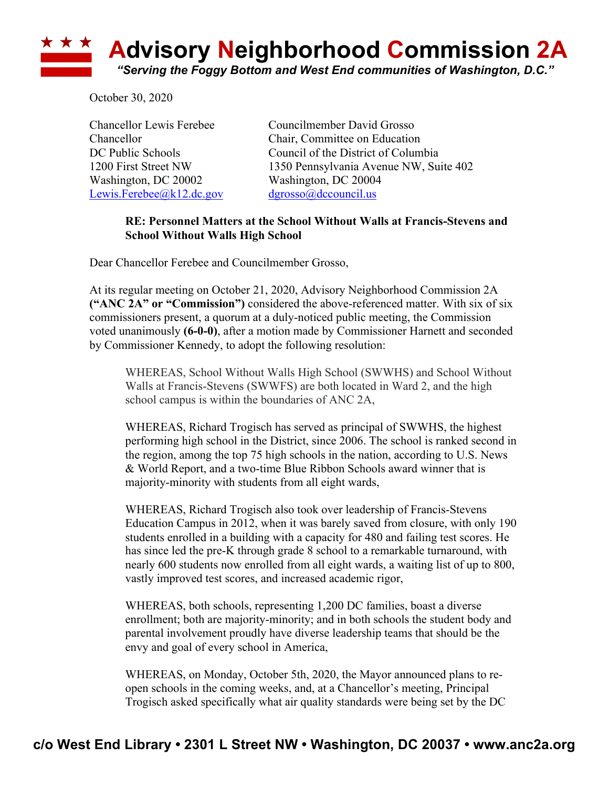

October 30, 2020

Washington, DC 20002 Washington, DC 20004 Lewis.Ferebee@k12.dc.gov dgrosso@dccouncil.us

Chancellor Lewis Ferebee Councilmember David Grosso Chancellor Chair, Committee on Education DC Public Schools Council of the District of Columbia 1200 First Street NW 1350 Pennsylvania Avenue NW, Suite 402

## **RE: Personnel Matters at the School Without Walls at Francis-Stevens and School Without Walls High School**

Dear Chancellor Ferebee and Councilmember Grosso,

At its regular meeting on October 21, 2020, Advisory Neighborhood Commission 2A **("ANC 2A" or "Commission")** considered the above-referenced matter. With six of six commissioners present, a quorum at a duly-noticed public meeting, the Commission voted unanimously **(6-0-0)**, after a motion made by Commissioner Harnett and seconded by Commissioner Kennedy, to adopt the following resolution:

WHEREAS, School Without Walls High School (SWWHS) and School Without Walls at Francis-Stevens (SWWFS) are both located in Ward 2, and the high school campus is within the boundaries of ANC 2A,

WHEREAS, Richard Trogisch has served as principal of SWWHS, the highest performing high school in the District, since 2006. The school is ranked second in the region, among the top 75 high schools in the nation, according to U.S. News & World Report, and a two-time Blue Ribbon Schools award winner that is majority-minority with students from all eight wards,

WHEREAS, Richard Trogisch also took over leadership of Francis-Stevens Education Campus in 2012, when it was barely saved from closure, with only 190 students enrolled in a building with a capacity for 480 and failing test scores. He has since led the pre-K through grade 8 school to a remarkable turnaround, with nearly 600 students now enrolled from all eight wards, a waiting list of up to 800, vastly improved test scores, and increased academic rigor,

WHEREAS, both schools, representing 1,200 DC families, boast a diverse enrollment; both are majority-minority; and in both schools the student body and parental involvement proudly have diverse leadership teams that should be the envy and goal of every school in America,

WHEREAS, on Monday, October 5th, 2020, the Mayor announced plans to reopen schools in the coming weeks, and, at a Chancellor's meeting, Principal Trogisch asked specifically what air quality standards were being set by the DC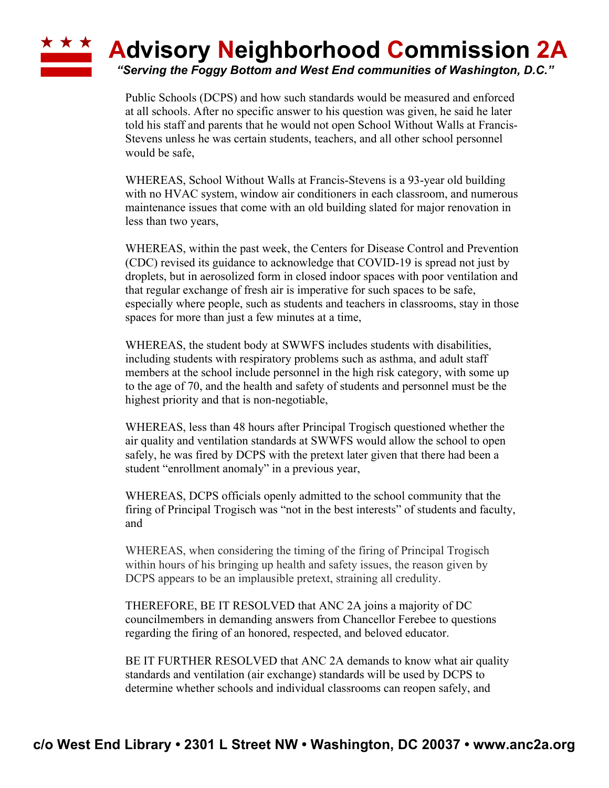## ★ ★ ★ **Advisory Neighborhood Commission 2A**

*"Serving the Foggy Bottom and West End communities of Washington, D.C."*

Public Schools (DCPS) and how such standards would be measured and enforced at all schools. After no specific answer to his question was given, he said he later told his staff and parents that he would not open School Without Walls at Francis-Stevens unless he was certain students, teachers, and all other school personnel would be safe,

WHEREAS, School Without Walls at Francis-Stevens is a 93-year old building with no HVAC system, window air conditioners in each classroom, and numerous maintenance issues that come with an old building slated for major renovation in less than two years,

WHEREAS, within the past week, the Centers for Disease Control and Prevention (CDC) revised its guidance to acknowledge that COVID-19 is spread not just by droplets, but in aerosolized form in closed indoor spaces with poor ventilation and that regular exchange of fresh air is imperative for such spaces to be safe, especially where people, such as students and teachers in classrooms, stay in those spaces for more than just a few minutes at a time,

WHEREAS, the student body at SWWFS includes students with disabilities, including students with respiratory problems such as asthma, and adult staff members at the school include personnel in the high risk category, with some up to the age of 70, and the health and safety of students and personnel must be the highest priority and that is non-negotiable,

WHEREAS, less than 48 hours after Principal Trogisch questioned whether the air quality and ventilation standards at SWWFS would allow the school to open safely, he was fired by DCPS with the pretext later given that there had been a student "enrollment anomaly" in a previous year,

WHEREAS, DCPS officials openly admitted to the school community that the firing of Principal Trogisch was "not in the best interests" of students and faculty, and

WHEREAS, when considering the timing of the firing of Principal Trogisch within hours of his bringing up health and safety issues, the reason given by DCPS appears to be an implausible pretext, straining all credulity.

THEREFORE, BE IT RESOLVED that ANC 2A joins a majority of DC councilmembers in demanding answers from Chancellor Ferebee to questions regarding the firing of an honored, respected, and beloved educator.

BE IT FURTHER RESOLVED that ANC 2A demands to know what air quality standards and ventilation (air exchange) standards will be used by DCPS to determine whether schools and individual classrooms can reopen safely, and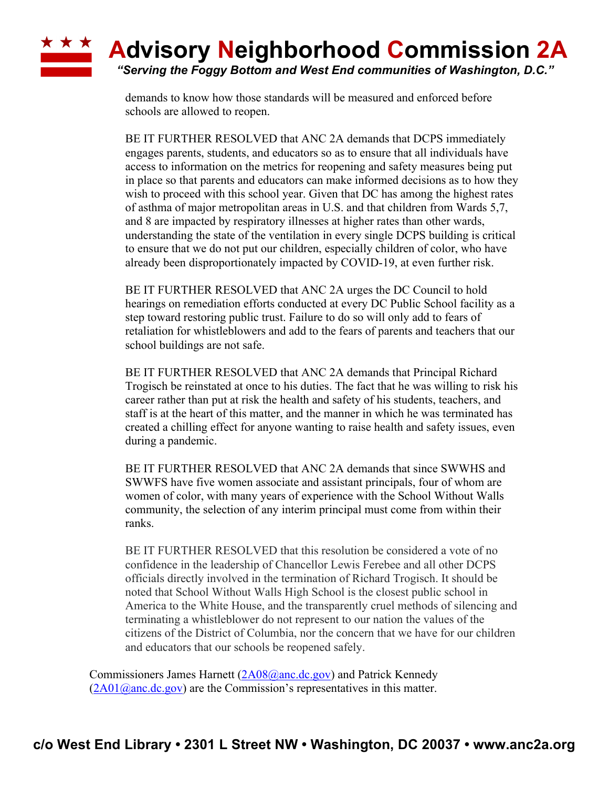## \* \* \* **Advisory Neighborhood Commission 2A**

*"Serving the Foggy Bottom and West End communities of Washington, D.C."*

demands to know how those standards will be measured and enforced before schools are allowed to reopen.

BE IT FURTHER RESOLVED that ANC 2A demands that DCPS immediately engages parents, students, and educators so as to ensure that all individuals have access to information on the metrics for reopening and safety measures being put in place so that parents and educators can make informed decisions as to how they wish to proceed with this school year. Given that DC has among the highest rates of asthma of major metropolitan areas in U.S. and that children from Wards 5,7, and 8 are impacted by respiratory illnesses at higher rates than other wards, understanding the state of the ventilation in every single DCPS building is critical to ensure that we do not put our children, especially children of color, who have already been disproportionately impacted by COVID-19, at even further risk.

BE IT FURTHER RESOLVED that ANC 2A urges the DC Council to hold hearings on remediation efforts conducted at every DC Public School facility as a step toward restoring public trust. Failure to do so will only add to fears of retaliation for whistleblowers and add to the fears of parents and teachers that our school buildings are not safe.

BE IT FURTHER RESOLVED that ANC 2A demands that Principal Richard Trogisch be reinstated at once to his duties. The fact that he was willing to risk his career rather than put at risk the health and safety of his students, teachers, and staff is at the heart of this matter, and the manner in which he was terminated has created a chilling effect for anyone wanting to raise health and safety issues, even during a pandemic.

BE IT FURTHER RESOLVED that ANC 2A demands that since SWWHS and SWWFS have five women associate and assistant principals, four of whom are women of color, with many years of experience with the School Without Walls community, the selection of any interim principal must come from within their ranks.

BE IT FURTHER RESOLVED that this resolution be considered a vote of no confidence in the leadership of Chancellor Lewis Ferebee and all other DCPS officials directly involved in the termination of Richard Trogisch. It should be noted that School Without Walls High School is the closest public school in America to the White House, and the transparently cruel methods of silencing and terminating a whistleblower do not represent to our nation the values of the citizens of the District of Columbia, nor the concern that we have for our children and educators that our schools be reopened safely.

Commissioners James Harnett (2A08@anc.dc.gov) and Patrick Kennedy  $(2A01@anc.de.gov)$  are the Commission's representatives in this matter.